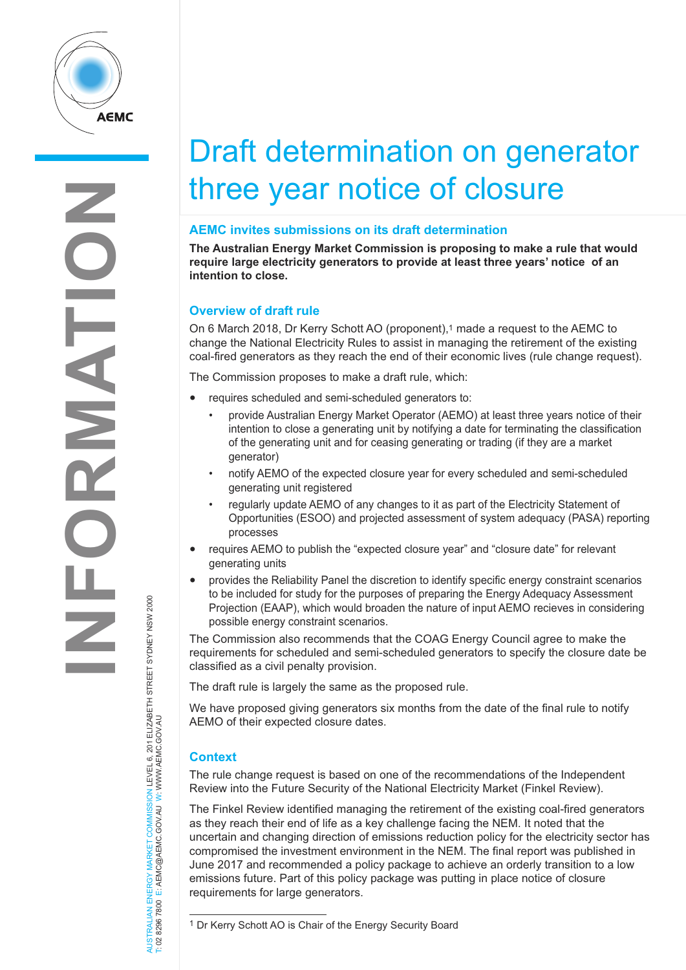

# Draft determination on generator three year notice of closure

## **AEMC invites submissions on its draft determination**

**The Australian Energy Market Commission is proposing to make a rule that would require large electricity generators to provide at least three years' notice of an intention to close.**

## **Overview of draft rule**

On 6 March 2018, Dr Kerry Schott AO (proponent),1 made a request to the AEMC to change the National Electricity Rules to assist in managing the retirement of the existing coal-fired generators as they reach the end of their economic lives (rule change request).

The Commission proposes to make a draft rule, which:

- requires scheduled and semi-scheduled generators to:
	- provide Australian Energy Market Operator (AEMO) at least three years notice of their intention to close a generating unit by notifying a date for terminating the classification of the generating unit and for ceasing generating or trading (if they are a market generator)
	- notify AEMO of the expected closure year for every scheduled and semi-scheduled generating unit registered
	- regularly update AEMO of any changes to it as part of the Electricity Statement of Opportunities (ESOO) and projected assessment of system adequacy (PASA) reporting processes
- requires AEMO to publish the "expected closure year" and "closure date" for relevant generating units
- provides the Reliability Panel the discretion to identify specific energy constraint scenarios to be included for study for the purposes of preparing the Energy Adequacy Assessment Projection (EAAP), which would broaden the nature of input AEMO recieves in considering possible energy constraint scenarios.

The Commission also recommends that the COAG Energy Council agree to make the requirements for scheduled and semi-scheduled generators to specify the closure date be classified as a civil penalty provision.

The draft rule is largely the same as the proposed rule.

We have proposed giving generators six months from the date of the final rule to notify AEMO of their expected closure dates.

## **Context**

AUSTRALIAN ENERGY MARKET COMMISSION LEVEL 6, 201 ELIZABETH STREET SYDNEY NSW 2000

W

W.AEMC.GOV.AU

T: 02 8296 7800 E: AEMC@AEMC.GOV.AU W: W

The rule change request is based on one of the recommendations of the Independent Review into the Future Security of the National Electricity Market (Finkel Review).

The Finkel Review identified managing the retirement of the existing coal-fired generators as they reach their end of life as a key challenge facing the NEM. It noted that the uncertain and changing direction of emissions reduction policy for the electricity sector has compromised the investment environment in the NEM. The final report was published in June 2017 and recommended a policy package to achieve an orderly transition to a low emissions future. Part of this policy package was putting in place notice of closure requirements for large generators.

<sup>1</sup> Dr Kerry Schott AO is Chair of the Energy Security Board